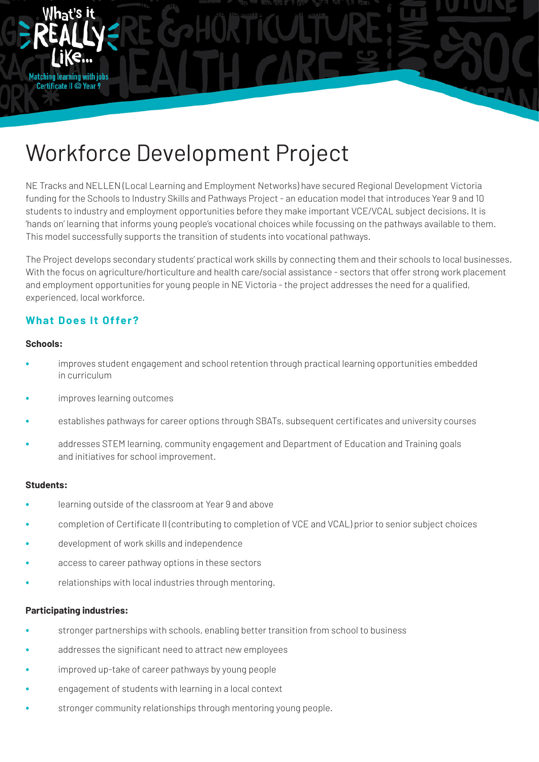

funding for the Schools to Industry Skills and Pathways Project - an education model that introduces Year 9 and IU<br>students to industry and employment opportunities before they make important VCE/VCAL subject decisions. It This model successfully supports the transition of students into vocational pathways. NE Tracks and NELLEN (Local Learning and Employment Networks) have secured Regional Development Victoria funding for the Schools to Industry Skills and Pathways Project - an education model that introduces Year 9 and 10 'hands on' learning that informs young people's vocational choices while focussing on the pathways available to them.

Inquiry into growing Australian agriculture to \$100 billion by 2030 Submission 13 - Attachment 2030 Submission

HEADING 119 BOLD 3: BARLOW BOLD 119 BOLD 119 BOLD 119 BOLD 119 BOLD 119 BOLD 119 BOLD 119 BOLD 119 BOLD 119 BOLD 119 BOLD 119 BOLD 119 BOLD 119 BOLD 119 BOLD 119 BOLD 119 BOLD 119 BOLD 119 BOLD 119 BOLD 119 BOLD 119 BOLD 1 experienced, local workforce. The spacing: "Add spacing: "Add spacing: "Add spacing: "Add spacing: "Add spacing: "Add spacing: "Add spacing: "Add spacing: "Add spacing: "Add spacing: "Add spacing: "Add spacing: "Add spacin The Project develops secondary students' practical work skills by connecting them and their schools to local businesses. and employment opportunities for young people in NE Victoria - the project addresses the need for a qualified,

#### The Wodonga Project will work to address social and educational disadvantage in schools by providing a coordinated response for young people identified to be at risk of homelessness or disengagement from education. It will do this will do this will do this will do this will do this will do this will do this will do this will do this wi **What Does It Offer?**

**Matching learning with jobs** Certificate II @ Year 9

#### by implementing the successful Community of Schools and Services (COSS) model, which is achieving significant **Schools:**

- improves student engagement and school retention through practical learning opportunities embedded collaboration between participants. It is a placed based approach that can be applied to meet the unique needs of applied to meet that can be applied to meet the unique needs of applied to meet the unique needs of applied in curriculum
- **•** improves learning outcomes
- establishes pathways for career options through SBATs, subsequent certificates and university courses
- addresses STEM learning, community engagement and Department of Education and Training goals and initiatives for school improvement.<br>```

## **Students:**

- learning outside of the classroom at Year 9 and above
- **•** completion of Certificate II (contributing to completion of VCE and VCAL) prior to senior subject choices
- **•** development of work skills and independence
- **•** access to career pathway options in these sectors
- **•** relationships with local industries through mentoring.

## **Participating industries:**

- **•** stronger partnerships with schools, enabling better transition from school to business
- **•** addresses the significant need to attract new employees
- **•** improved up-take of career pathways by young people
- **•** engagement of students with learning in a local context
- **•** stronger community relationships through mentoring young people.